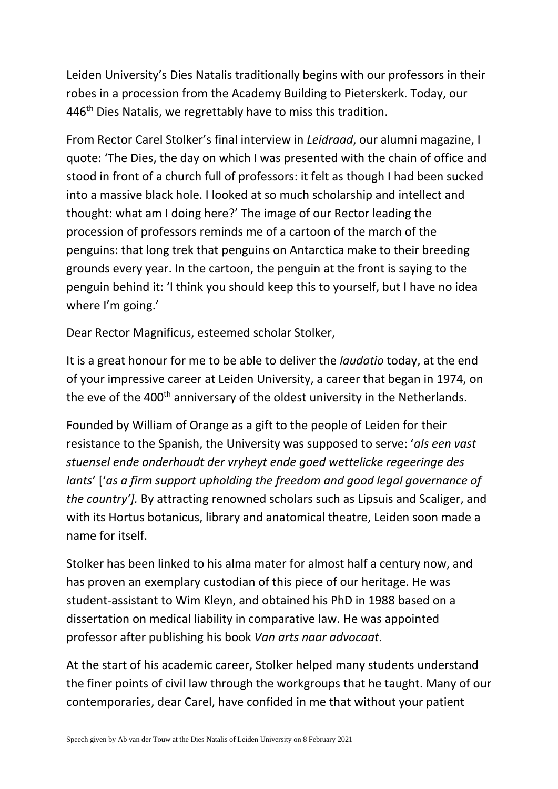Leiden University's Dies Natalis traditionally begins with our professors in their robes in a procession from the Academy Building to Pieterskerk. Today, our 446<sup>th</sup> Dies Natalis, we regrettably have to miss this tradition.

From Rector Carel Stolker's final interview in *Leidraad*, our alumni magazine, I quote: 'The Dies, the day on which I was presented with the chain of office and stood in front of a church full of professors: it felt as though I had been sucked into a massive black hole. I looked at so much scholarship and intellect and thought: what am I doing here?' The image of our Rector leading the procession of professors reminds me of a cartoon of the march of the penguins: that long trek that penguins on Antarctica make to their breeding grounds every year. In the cartoon, the penguin at the front is saying to the penguin behind it: 'I think you should keep this to yourself, but I have no idea where I'm going.'

Dear Rector Magnificus, esteemed scholar Stolker,

It is a great honour for me to be able to deliver the *laudatio* today, at the end of your impressive career at Leiden University, a career that began in 1974, on the eve of the 400<sup>th</sup> anniversary of the oldest university in the Netherlands.

Founded by William of Orange as a gift to the people of Leiden for their resistance to the Spanish, the University was supposed to serve: '*als een vast stuensel ende onderhoudt der vryheyt ende goed wettelicke regeeringe des lants*' ['*as a firm support upholding the freedom and good legal governance of the country'].* By attracting renowned scholars such as Lipsuis and Scaliger, and with its Hortus botanicus, library and anatomical theatre, Leiden soon made a name for itself.

Stolker has been linked to his alma mater for almost half a century now, and has proven an exemplary custodian of this piece of our heritage. He was student-assistant to Wim Kleyn, and obtained his PhD in 1988 based on a dissertation on medical liability in comparative law. He was appointed professor after publishing his book *Van arts naar advocaat*.

At the start of his academic career, Stolker helped many students understand the finer points of civil law through the workgroups that he taught. Many of our contemporaries, dear Carel, have confided in me that without your patient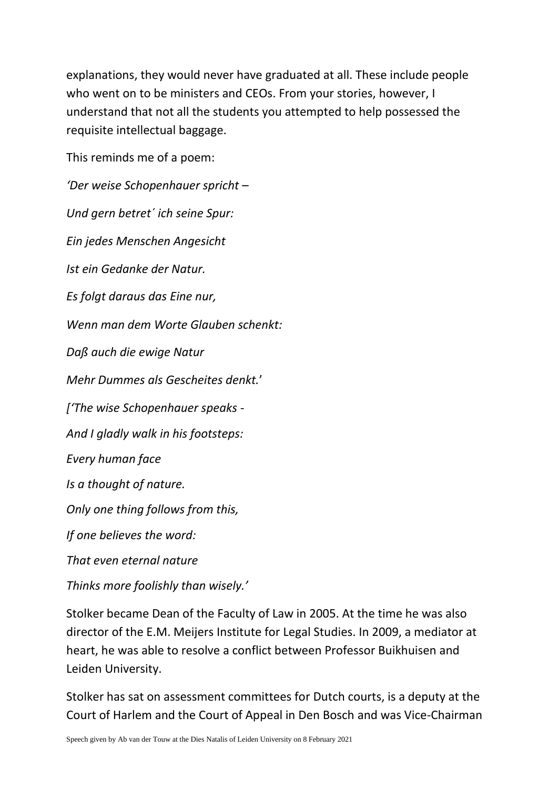explanations, they would never have graduated at all. These include people who went on to be ministers and CEOs. From your stories, however, I understand that not all the students you attempted to help possessed the requisite intellectual baggage.

This reminds me of a poem:

*'Der weise Schopenhauer spricht – Und gern betret´ ich seine Spur: Ein jedes Menschen Angesicht Ist ein Gedanke der Natur. Es folgt daraus das Eine nur, Wenn man dem Worte Glauben schenkt: Daß auch die ewige Natur Mehr Dummes als Gescheites denkt.*' *['The wise Schopenhauer speaks - And I gladly walk in his footsteps: Every human face Is a thought of nature. Only one thing follows from this, If one believes the word: That even eternal nature Thinks more foolishly than wisely.'*

Stolker became Dean of the Faculty of Law in 2005. At the time he was also director of the E.M. Meijers Institute for Legal Studies. In 2009, a mediator at heart, he was able to resolve a conflict between Professor Buikhuisen and Leiden University.

Stolker has sat on assessment committees for Dutch courts, is a deputy at the Court of Harlem and the Court of Appeal in Den Bosch and was Vice-Chairman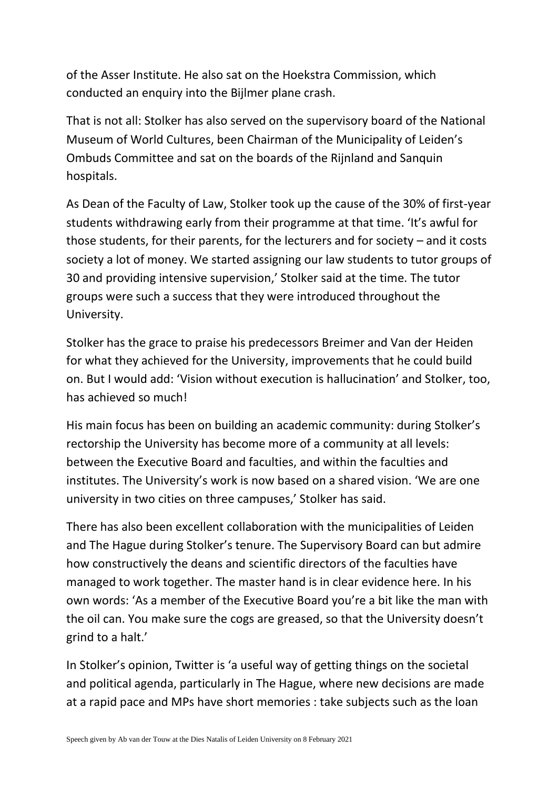of the Asser Institute. He also sat on the Hoekstra Commission, which conducted an enquiry into the Bijlmer plane crash.

That is not all: Stolker has also served on the supervisory board of the National Museum of World Cultures, been Chairman of the Municipality of Leiden's Ombuds Committee and sat on the boards of the Rijnland and Sanquin hospitals.

As Dean of the Faculty of Law, Stolker took up the cause of the 30% of first-year students withdrawing early from their programme at that time. 'It's awful for those students, for their parents, for the lecturers and for society – and it costs society a lot of money. We started assigning our law students to tutor groups of 30 and providing intensive supervision,' Stolker said at the time. The tutor groups were such a success that they were introduced throughout the University.

Stolker has the grace to praise his predecessors Breimer and Van der Heiden for what they achieved for the University, improvements that he could build on. But I would add: 'Vision without execution is hallucination' and Stolker, too, has achieved so much!

His main focus has been on building an academic community: during Stolker's rectorship the University has become more of a community at all levels: between the Executive Board and faculties, and within the faculties and institutes. The University's work is now based on a shared vision. 'We are one university in two cities on three campuses,' Stolker has said.

There has also been excellent collaboration with the municipalities of Leiden and The Hague during Stolker's tenure. The Supervisory Board can but admire how constructively the deans and scientific directors of the faculties have managed to work together. The master hand is in clear evidence here. In his own words: 'As a member of the Executive Board you're a bit like the man with the oil can. You make sure the cogs are greased, so that the University doesn't grind to a halt.'

In Stolker's opinion, Twitter is 'a useful way of getting things on the societal and political agenda, particularly in The Hague, where new decisions are made at a rapid pace and MPs have short memories : take subjects such as the loan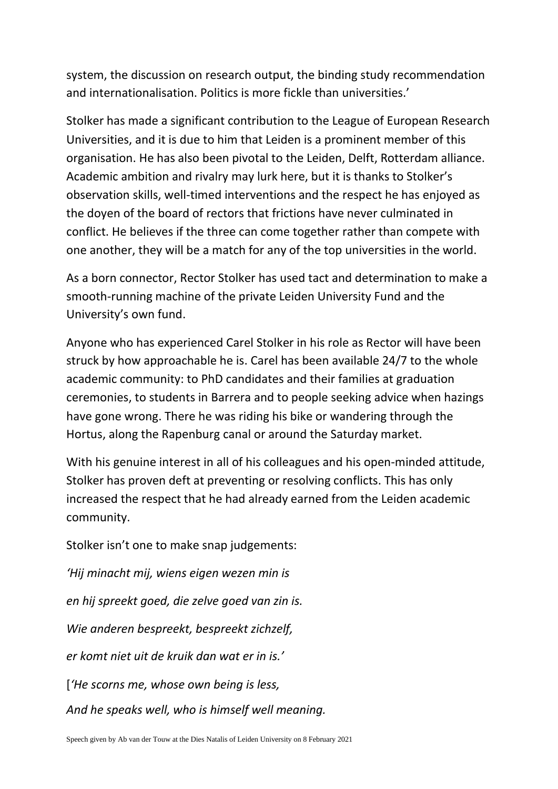system, the discussion on research output, the binding study recommendation and internationalisation. Politics is more fickle than universities.'

Stolker has made a significant contribution to the League of European Research Universities, and it is due to him that Leiden is a prominent member of this organisation. He has also been pivotal to the Leiden, Delft, Rotterdam alliance. Academic ambition and rivalry may lurk here, but it is thanks to Stolker's observation skills, well-timed interventions and the respect he has enjoyed as the doyen of the board of rectors that frictions have never culminated in conflict. He believes if the three can come together rather than compete with one another, they will be a match for any of the top universities in the world.

As a born connector, Rector Stolker has used tact and determination to make a smooth-running machine of the private Leiden University Fund and the University's own fund.

Anyone who has experienced Carel Stolker in his role as Rector will have been struck by how approachable he is. Carel has been available 24/7 to the whole academic community: to PhD candidates and their families at graduation ceremonies, to students in Barrera and to people seeking advice when hazings have gone wrong. There he was riding his bike or wandering through the Hortus, along the Rapenburg canal or around the Saturday market.

With his genuine interest in all of his colleagues and his open-minded attitude, Stolker has proven deft at preventing or resolving conflicts. This has only increased the respect that he had already earned from the Leiden academic community.

Stolker isn't one to make snap judgements:

*'Hij minacht mij, wiens eigen wezen min is en hij spreekt goed, die zelve goed van zin is. Wie anderen bespreekt, bespreekt zichzelf, er komt niet uit de kruik dan wat er in is.'* [*'He scorns me, whose own being is less, And he speaks well, who is himself well meaning.*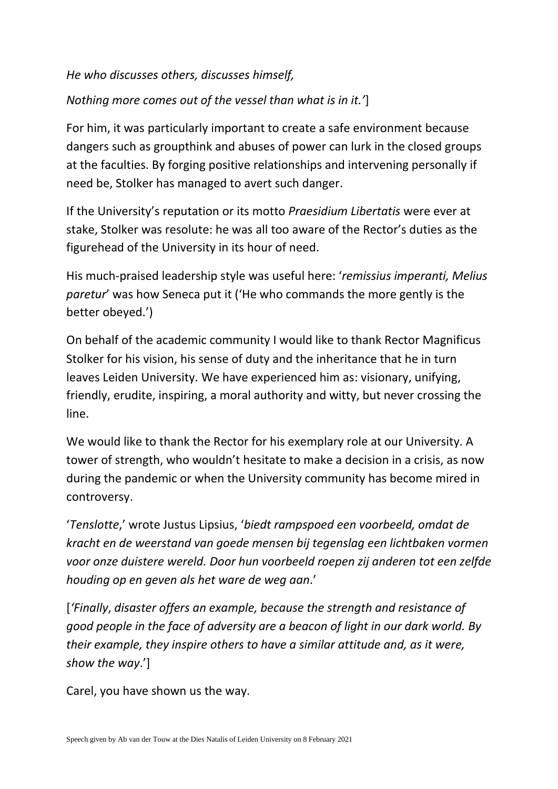## *He who discusses others, discusses himself,*

## *Nothing more comes out of the vessel than what is in it.'*]

For him, it was particularly important to create a safe environment because dangers such as groupthink and abuses of power can lurk in the closed groups at the faculties. By forging positive relationships and intervening personally if need be, Stolker has managed to avert such danger.

If the University's reputation or its motto *Praesidium Libertatis* were ever at stake, Stolker was resolute: he was all too aware of the Rector's duties as the figurehead of the University in its hour of need.

His much-praised leadership style was useful here: '*remissius imperanti, Melius paretur*' was how Seneca put it ('He who commands the more gently is the better obeyed.')

On behalf of the academic community I would like to thank Rector Magnificus Stolker for his vision, his sense of duty and the inheritance that he in turn leaves Leiden University. We have experienced him as: visionary, unifying, friendly, erudite, inspiring, a moral authority and witty, but never crossing the line.

We would like to thank the Rector for his exemplary role at our University. A tower of strength, who wouldn't hesitate to make a decision in a crisis, as now during the pandemic or when the University community has become mired in controversy.

'*Tenslotte*,' wrote Justus Lipsius, '*biedt rampspoed een voorbeeld, omdat de kracht en de weerstand van goede mensen bij tegenslag een lichtbaken vormen voor onze duistere wereld. Door hun voorbeeld roepen zij anderen tot een zelfde houding op en geven als het ware de weg aan*.'

[*'Finally*, *disaster offers an example, because the strength and resistance of good people in the face of adversity are a beacon of light in our dark world. By their example, they inspire others to have a similar attitude and, as it were, show the way*.']

Carel, you have shown us the way.